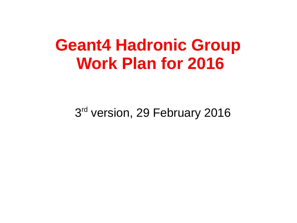## **Geant4 Hadronic Group Work Plan for 2016**

3<sup>rd</sup> version, 29 February 2016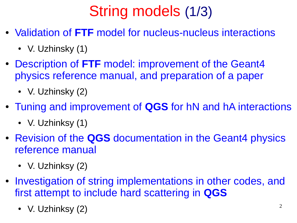# String models (1/3)

- Validation of **FTF** model for nucleus-nucleus interactions
	- V. Uzhinsky  $(1)$
- Description of FTF model: improvement of the Geant4 physics reference manual, and preparation of a paper
	- V. Uzhinsky (2)
- Tuning and improvement of **QGS** for hN and hA interactions
	- V. Uzhinksy  $(1)$
- Revision of the **QGS** documentation in the Geant4 physics reference manual
	- V. Uzhinksy (2)
- Investigation of string implementations in other codes, and first attempt to include hard scattering in **QGS**
	- V. Uzhinksy (2)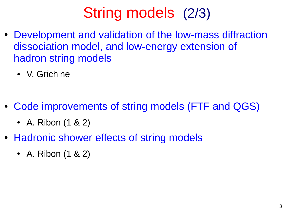### String models (2/3)

- Development and validation of the low-mass diffraction dissociation model, and low-energy extension of hadron string models
	- V. Grichine
- Code improvements of string models (FTF and QGS)
	- A. Ribon  $(1 \& 2)$
- Hadronic shower effects of string models
	- A. Ribon  $(1 \& 2)$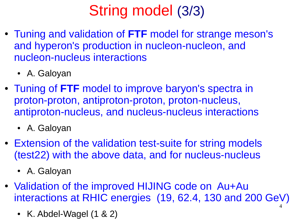## String model (3/3)

- Tuning and validation of **FTF** model for strange meson's and hyperon's production in nucleon-nucleon, and nucleon-nucleus interactions
	- A. Galoyan
- Tuning of FTF model to improve baryon's spectra in proton-proton, antiproton-proton, proton-nucleus, antiproton-nucleus, and nucleus-nucleus interactions
	- A. Galoyan
- Extension of the validation test-suite for string models (test22) with the above data, and for nucleus-nucleus
	- A. Galoyan
- 4 • Validation of the improved HIJING code on Au+Au interactions at RHIC energies (19, 62.4, 130 and 200 GeV)
	- K. Abdel-Wagel  $(1 \& 2)$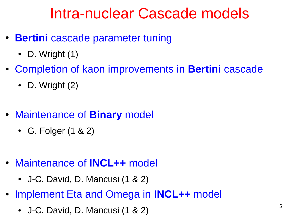#### Intra-nuclear Cascade models

- **Bertini** cascade parameter tuning
	- D. Wright  $(1)$
- Completion of kaon improvements in **Bertini** cascade
	- D. Wright  $(2)$
- Maintenance of **Binary** model
	- G. Folger  $(1 \& 2)$
- Maintenance of **INCL++** model
	- J-C. David, D. Mancusi  $(1 \& 2)$
- Implement Eta and Omega in **INCL++** model
	- J-C. David, D. Mancusi (1 & 2)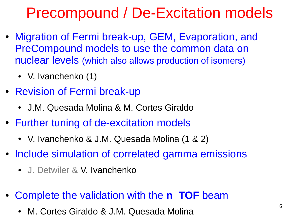#### Precompound / De-Excitation models

- Migration of Fermi break-up, GEM, Evaporation, and PreCompound models to use the common data on nuclear levels (which also allows production of isomers)
	- V. Ivanchenko  $(1)$
- Revision of Fermi break-up
	- J.M. Quesada Molina & M. Cortes Giraldo
- Further tuning of de-excitation models
	- V. Ivanchenko & J.M. Quesada Molina (1 & 2)
- Include simulation of correlated gamma emissions
	- J. Detwiler & V. Ivanchenko
- Complete the validation with the **n\_TOF** beam
	- M. Cortes Giraldo & J.M. Quesada Molina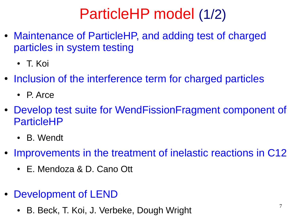### ParticleHP model (1/2)

- Maintenance of ParticleHP, and adding test of charged particles in system testing
	- T. Koi
- Inclusion of the interference term for charged particles
	- P. Arce
- Develop test suite for WendFissionFragment component of ParticleHP
	- B. Wendt
- Improvements in the treatment of inelastic reactions in C12
	- E. Mendoza & D. Cano Ott
- Development of LEND
	- B. Beck, T. Koi, J. Verbeke, Dough Wright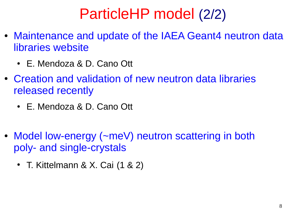#### ParticleHP model (2/2)

- Maintenance and update of the IAEA Geant4 neutron data libraries website
	- E. Mendoza & D. Cano Ott
- Creation and validation of new neutron data libraries released recently
	- E. Mendoza & D. Cano Ott
- Model low-energy (~meV) neutron scattering in both poly- and single-crystals
	- T. Kittelmann & X. Cai  $(1 \& 2)$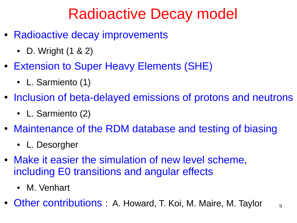### Radioactive Decay model

- Radioactive decay improvements
	- D. Wright  $(1 \& 2)$
- Extension to Super Heavy Elements (SHE)
	- L. Sarmiento (1)
- Inclusion of beta-delayed emissions of protons and neutrons
	- L. Sarmiento (2)
- Maintenance of the RDM database and testing of biasing
	- L. Desorgher
- Make it easier the simulation of new level scheme, including E0 transitions and angular effects
	- M. Venhart
- Other contributions : A. Howard, T. Koi, M. Maire, M. Taylor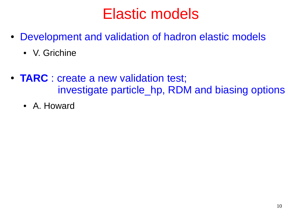#### Elastic models

- Development and validation of hadron elastic models
	- V. Grichine
- **TARC** : create a new validation test; investigate particle\_hp, RDM and biasing options
	- A. Howard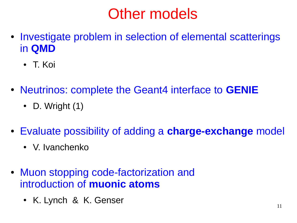### Other models

- Investigate problem in selection of elemental scatterings in **QMD**
	- T. Koi
- Neutrinos: complete the Geant4 interface to **GENIE**
	- D. Wright  $(1)$
- Evaluate possibility of adding a **charge-exchange** model
	- V. Ivanchenko
- Muon stopping code-factorization and introduction of **muonic atoms**
	- K. Lynch & K. Genser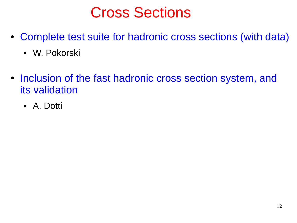#### Cross Sections

- Complete test suite for hadronic cross sections (with data)
	- W. Pokorski
- Inclusion of the fast hadronic cross section system, and its validation
	- A. Dotti